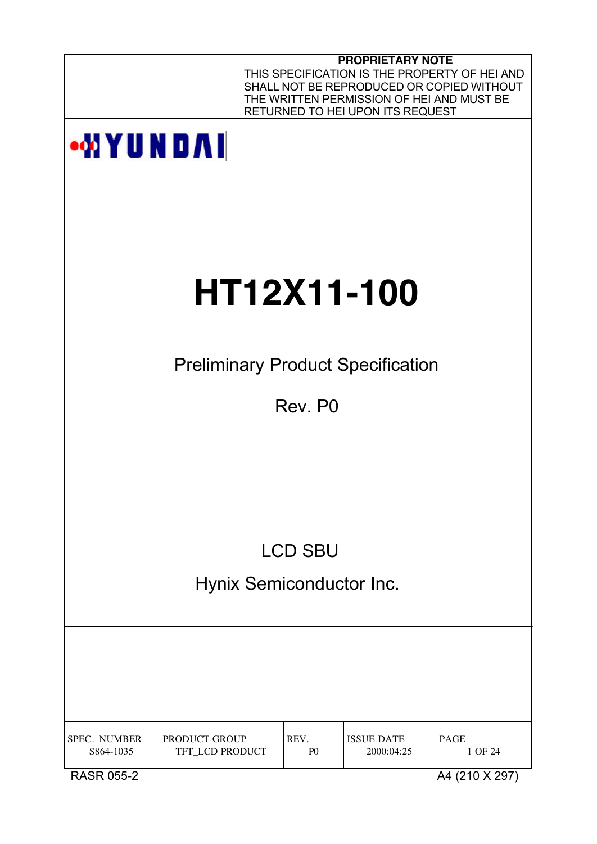|                                  |                                          |                        | <b>PROPRIETARY NOTE</b><br>THE WRITTEN PERMISSION OF HEI AND MUST BE<br>RETURNED TO HEI UPON ITS REQUEST | THIS SPECIFICATION IS THE PROPERTY OF HEI AND<br>SHALL NOT BE REPRODUCED OR COPIED WITHOUT |
|----------------------------------|------------------------------------------|------------------------|----------------------------------------------------------------------------------------------------------|--------------------------------------------------------------------------------------------|
| <b>WYUNDAI</b>                   |                                          |                        |                                                                                                          |                                                                                            |
|                                  |                                          |                        |                                                                                                          |                                                                                            |
|                                  | <b>HT12X11-100</b>                       |                        |                                                                                                          |                                                                                            |
|                                  | <b>Preliminary Product Specification</b> |                        |                                                                                                          |                                                                                            |
|                                  |                                          | Rev. P0                |                                                                                                          |                                                                                            |
|                                  |                                          |                        |                                                                                                          |                                                                                            |
|                                  |                                          |                        |                                                                                                          |                                                                                            |
|                                  |                                          | <b>LCD SBU</b>         |                                                                                                          |                                                                                            |
|                                  | Hynix Semiconductor Inc.                 |                        |                                                                                                          |                                                                                            |
|                                  |                                          |                        |                                                                                                          |                                                                                            |
|                                  |                                          |                        |                                                                                                          |                                                                                            |
| <b>SPEC. NUMBER</b><br>S864-1035 | PRODUCT GROUP<br>TFT_LCD PRODUCT         | REV.<br>P <sub>0</sub> | <b>ISSUE DATE</b><br>2000:04:25                                                                          | PAGE<br>1 OF 24                                                                            |
| <b>RASR 055-2</b>                |                                          |                        |                                                                                                          | A4 (210 X 297)                                                                             |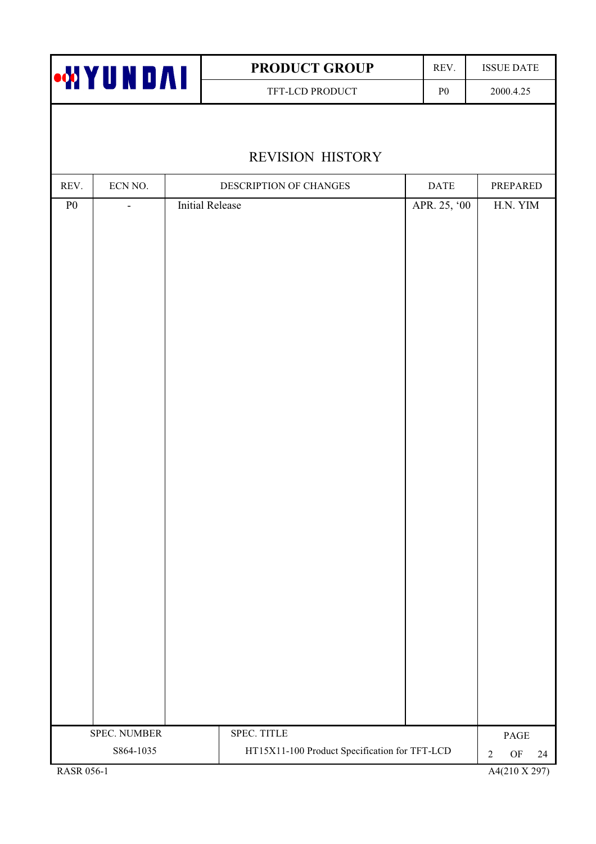| <b>WYUNDAI</b> |              |                        | PRODUCT GROUP                                 | REV.                     | <b>ISSUE DATE</b>                         |
|----------------|--------------|------------------------|-----------------------------------------------|--------------------------|-------------------------------------------|
|                |              |                        | TFT-LCD PRODUCT                               | ${\bf P0}$               | 2000.4.25                                 |
|                |              |                        |                                               |                          |                                           |
|                |              |                        | <b>REVISION HISTORY</b>                       |                          |                                           |
| REV.           | ECN NO.      |                        | DESCRIPTION OF CHANGES                        | $\mathop{\mathsf{DATE}}$ | PREPARED                                  |
| ${\bf P0}$     |              | <b>Initial Release</b> |                                               | APR. 25, '00             | H.N. YIM                                  |
|                | SPEC. NUMBER |                        | SPEC. TITLE                                   |                          |                                           |
|                | S864-1035    |                        | HT15X11-100 Product Specification for TFT-LCD |                          | PAGE<br>$\mathrm{OF}$<br>$\sqrt{2}$<br>24 |
|                |              |                        |                                               |                          |                                           |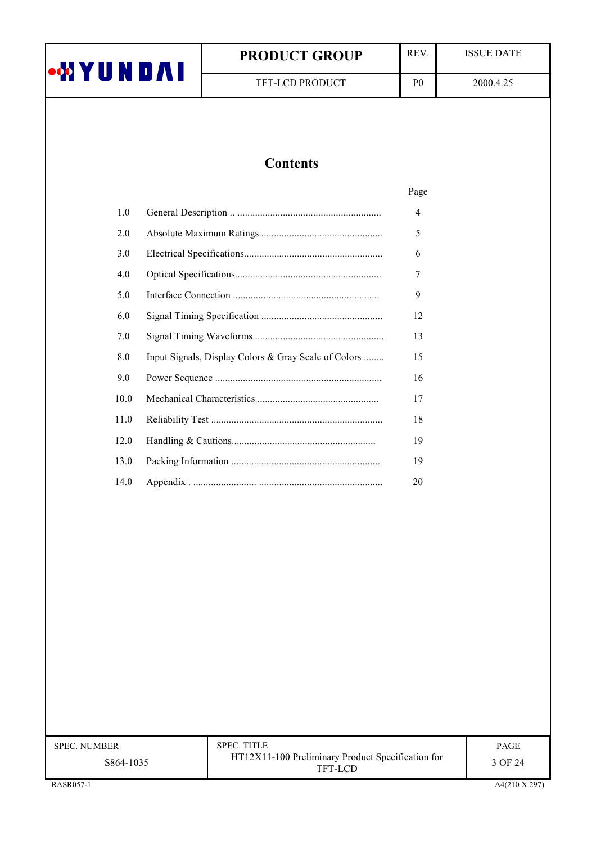| <b>WYUNDAI</b> |  |  |
|----------------|--|--|
|                |  |  |

TFT-LCD PRODUCT

**ISSUE DATE** 

 ${\bf P0}$ 

# **Contents**

|      |                                                      | Page           |
|------|------------------------------------------------------|----------------|
| 1.0  |                                                      | $\overline{4}$ |
| 2.0  |                                                      | 5              |
| 3.0  |                                                      | 6              |
| 4.0  |                                                      | 7              |
| 5.0  |                                                      | 9              |
| 6.0  |                                                      | 12             |
| 7.0  |                                                      | 13             |
| 8.0  | Input Signals, Display Colors & Gray Scale of Colors | 15             |
| 9.0  |                                                      | 16             |
| 10.0 |                                                      | 17             |
| 11.0 |                                                      | 18             |
| 12.0 |                                                      | 19             |
| 13.0 |                                                      | 19             |
| 14.0 |                                                      | 20             |

| <b>SPEC. NUMBER</b> | <b>SPEC. TITLE</b>                                           | <b>PAGE</b> |
|---------------------|--------------------------------------------------------------|-------------|
| S864-1035           | HT12X11-100 Preliminary Product Specification for<br>TFT-LCD | 3 OF 24     |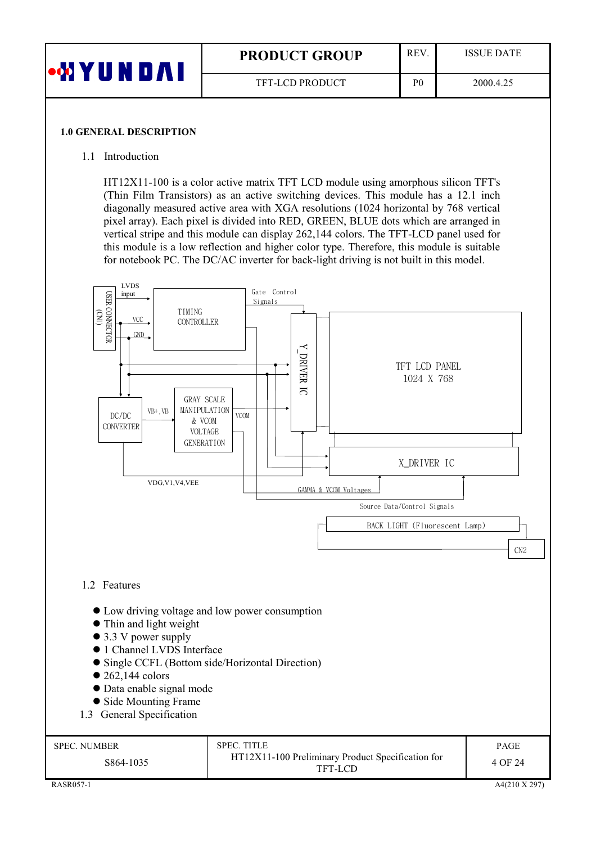| •WYUNDAI | <b>REV</b><br><b>PRODUCT GROUP</b> |                | <b>ISSUE DATE</b> |
|----------|------------------------------------|----------------|-------------------|
|          | <b>TFT-LCD PRODUCT</b>             | P <sub>0</sub> | 2000.4.25         |

#### **1.0 GENERAL DESCRIPTION**

### 1.1 Introduction

HT12X11-100 is a color active matrix TFT LCD module using amorphous silicon TFT's (Thin Film Transistors) as an active switching devices. This module has a 12.1 inch diagonally measured active area with XGA resolutions (1024 horizontal by 768 vertical pixel array). Each pixel is divided into RED, GREEN, BLUE dots which are arranged in vertical stripe and this module can display 262,144 colors. The TFT-LCD panel used for this module is a low reflection and higher color type. Therefore, this module is suitable for notebook PC. The DC/AC inverter for back-light driving is not built in this model.

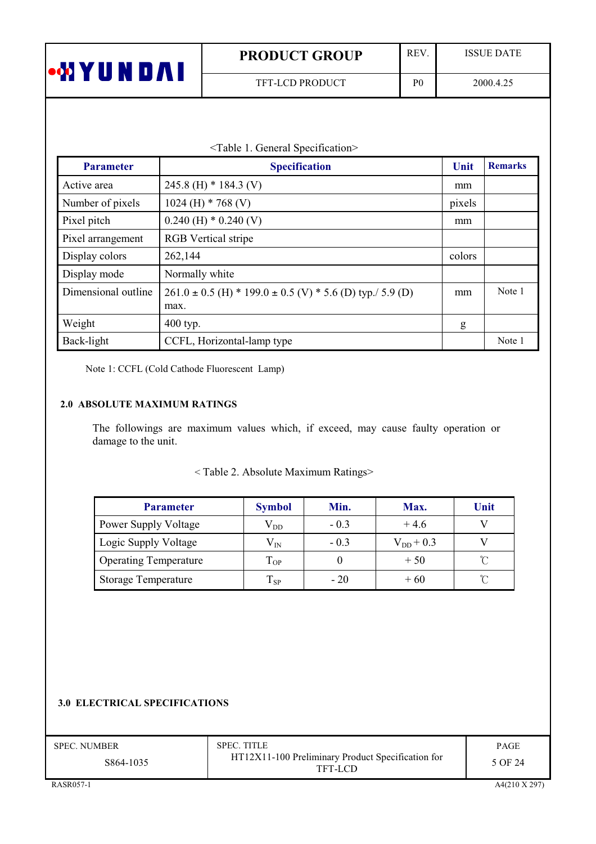| U | <b>PRODUCT GROUP</b>   | <b>REV</b> | <b>ISSUE DATE</b> |
|---|------------------------|------------|-------------------|
|   | <b>TFT-LCD PRODUCT</b> | P(         | 2000.4.25         |

| <table 1.="" general="" specification=""></table> |  |
|---------------------------------------------------|--|
|---------------------------------------------------|--|

| <b>Parameter</b>    | <b>Specification</b>                                                      | Unit   | <b>Remarks</b> |
|---------------------|---------------------------------------------------------------------------|--------|----------------|
| Active area         | 245.8 (H) $*$ 184.3 (V)                                                   | mm     |                |
| Number of pixels    | 1024 (H) $*$ 768 (V)                                                      | pixels |                |
| Pixel pitch         | $0.240$ (H) $*$ 0.240 (V)                                                 | mm     |                |
| Pixel arrangement   | <b>RGB</b> Vertical stripe                                                |        |                |
| Display colors      | 262,144                                                                   | colors |                |
| Display mode        | Normally white                                                            |        |                |
| Dimensional outline | $261.0 \pm 0.5$ (H) * 199.0 $\pm$ 0.5 (V) * 5.6 (D) typ./ 5.9 (D)<br>max. | mm     | Note 1         |
| Weight              | 400 typ.                                                                  | g      |                |
| Back-light          | CCFL, Horizontal-lamp type                                                |        | Note 1         |

Note 1: CCFL (Cold Cathode Fluorescent Lamp)

# 2.0 ABSOLUTE MAXIMUM RATINGS

The followings are maximum values which, if exceed, may cause faulty operation or damage to the unit.

# <Table 2. Absolute Maximum Ratings>

| <b>Parameter</b>             | <b>Symbol</b> | Min.   | Max.           | Unit |
|------------------------------|---------------|--------|----------------|------|
| Power Supply Voltage         | $\rm V_{DD}$  | $-0.3$ | $+4.6$         |      |
| Logic Supply Voltage         | $\rm V_{IN}$  | $-0.3$ | $V_{DD}$ + 0.3 |      |
| <b>Operating Temperature</b> | $T_{OP}$      |        | $+50$          |      |
| Storage Temperature          | $T_{SP}$      | $-20$  | $+60$          |      |

### **3.0 ELECTRICAL SPECIFICATIONS**

| <b>SPEC. NUMBER</b> | <b>SPEC. TITLE</b>                                           | PAGE    |
|---------------------|--------------------------------------------------------------|---------|
| S864-1035           | HT12X11-100 Preliminary Product Specification for<br>TFT-LCD | 5 OF 24 |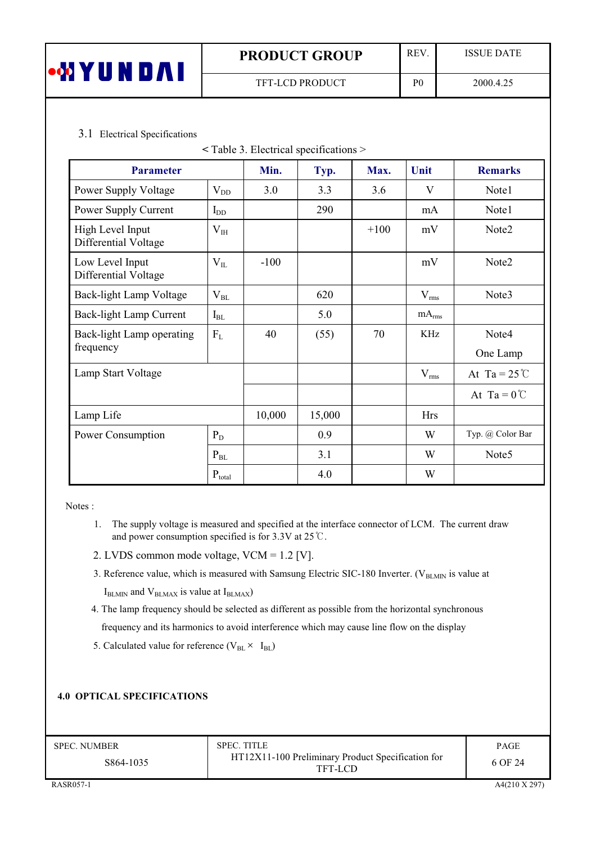| •WYUNDAI | <b>PRODUCT GROUP</b> |                | <b>ISSUE DATE</b> |
|----------|----------------------|----------------|-------------------|
|          | TFT-LCD PRODUCT      | P <sub>0</sub> | 2000.4.25         |

# 3.1 Electrical Specifications

| $\le$ Table 3. Electrical specifications $>$ |             |        |        |        |                   |                        |
|----------------------------------------------|-------------|--------|--------|--------|-------------------|------------------------|
| <b>Parameter</b>                             |             | Min.   | Typ.   | Max.   | Unit              | <b>Remarks</b>         |
| Power Supply Voltage                         | $V_{DD}$    | 3.0    | 3.3    | 3.6    | V                 | Note1                  |
| Power Supply Current                         | $I_{DD}$    |        | 290    |        | mA                | Note1                  |
| High Level Input<br>Differential Voltage     | $V_{IH}$    |        |        | $+100$ | mV                | Note2                  |
| Low Level Input<br>Differential Voltage      | $V_{IL}$    | $-100$ |        |        | mV                | Note2                  |
| Back-light Lamp Voltage                      | $V_{BL}$    |        | 620    |        | $V_{rms}$         | Note3                  |
| Back-light Lamp Current                      | $I_{BL}$    |        | 5.0    |        | mA <sub>rms</sub> |                        |
| Back-light Lamp operating                    | $F_L$       | 40     | (55)   | 70     | KHz               | Note4                  |
| frequency                                    |             |        |        |        |                   | One Lamp               |
| Lamp Start Voltage                           |             |        |        |        | $V_{rms}$         | At Ta = $25^{\circ}$ C |
|                                              |             |        |        |        |                   | At Ta = $0^{\circ}$ C  |
| Lamp Life                                    |             | 10,000 | 15,000 |        | <b>Hrs</b>        |                        |
| Power Consumption                            | $P_D$       |        | 0.9    |        | W                 | Typ. @ Color Bar       |
|                                              | $P_{BL}$    |        | 3.1    |        | W                 | Note <sub>5</sub>      |
|                                              | $P_{total}$ |        | 4.0    |        | W                 |                        |

Notes:

- 1. The supply voltage is measured and specified at the interface connector of LCM. The current draw and power consumption specified is for 3.3V at 25  $\degree$ C.
- 2. LVDS common mode voltage, VCM = 1.2 [V].
- 3. Reference value, which is measured with Samsung Electric SIC-180 Inverter. (VBLMIN is value at

 $I_{BLMIN}$  and  $V_{BLMAX}$  is value at  $I_{BLMAX}$ )

4. The lamp frequency should be selected as different as possible from the horizontal synchronous

frequency and its harmonics to avoid interference which may cause line flow on the display

5. Calculated value for reference ( $V_{BL} \times I_{BL}$ )

### **4.0 OPTICAL SPECIFICATIONS**

| <b>SPEC. NUMBER</b> | SPEC. TITLE                                                  | <b>PAGE</b> |
|---------------------|--------------------------------------------------------------|-------------|
| S864-1035           | HT12X11-100 Preliminary Product Specification for<br>TFT-LCD | 6 OF 24     |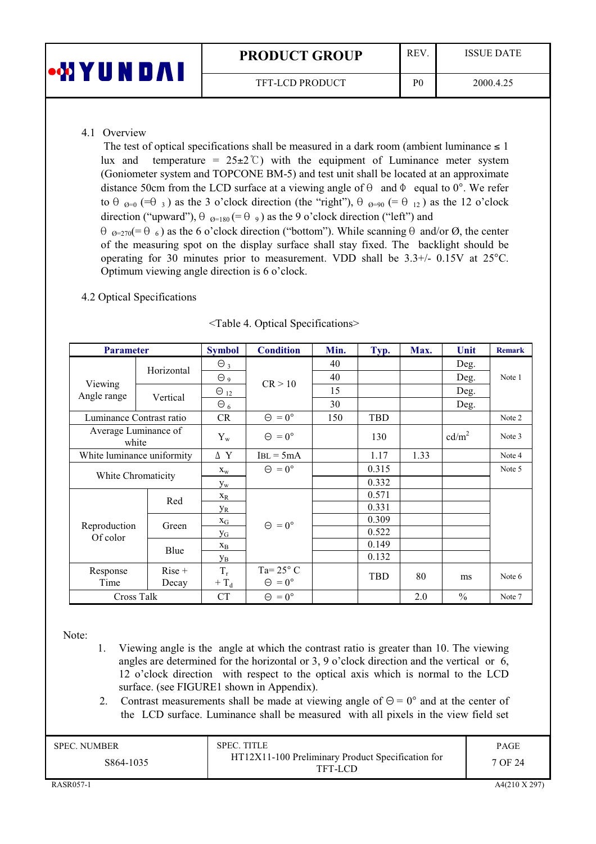| •WYUI | <b>PRODUCT GROUP</b>   | <b>REV</b>     | <b>ISSUE DATE</b> |
|-------|------------------------|----------------|-------------------|
|       | <b>TFT-LCD PRODUCT</b> | P <sub>0</sub> | 2000.4.25         |

# 4.1 Overview

The test of optical specifications shall be measured in a dark room (ambient luminance  $\leq 1$ ) lux and temperature =  $25\pm2\degree$ C) with the equipment of Luminance meter system (Goniometer system and TOPCONE BM-5) and test unit shall be located at an approximate distance 50cm from the LCD surface at a viewing angle of  $\theta$  and  $\Phi$  equal to 0°. We refer to  $\theta_{\theta=0}$  (= $\theta_3$ ) as the 3 o'clock direction (the "right"),  $\theta_{\theta=90}$  (= $\theta_{12}$ ) as the 12 o'clock direction ("upward"),  $\theta_{\varnothing=180}$  (=  $\theta_{9}$ ) as the 9 o'clock direction ("left") and  $\theta_{\theta=270}$ (=  $\theta_{6}$ ) as the 6 o'clock direction ("bottom"). While scanning  $\theta$  and/or  $\varnothing$ , the center of the measuring spot on the display surface shall stay fixed. The backlight should be operating for 30 minutes prior to measurement. VDD shall be  $3.3+/$  0.15V at  $25^{\circ}$ C. Optimum viewing angle direction is 6 o'clock.

# 4.2 Optical Specifications

| <b>Parameter</b>              |                   | <b>Symbol</b>                      | <b>Condition</b>                           | Min.  | Typ.  | Max. | Unit              | <b>Remark</b> |
|-------------------------------|-------------------|------------------------------------|--------------------------------------------|-------|-------|------|-------------------|---------------|
|                               | Horizontal        | $\Theta_3$                         |                                            | 40    |       |      | Deg.              |               |
|                               |                   | $\Theta$ 9                         | CR > 10                                    | 40    |       |      | Deg.              | Note 1        |
| Viewing<br>Angle range        | Vertical          | $\Theta_{12}$                      |                                            | 15    |       |      | Deg.              |               |
|                               |                   | $\Theta_6$                         |                                            | 30    |       |      | Deg.              |               |
| Luminance Contrast ratio      |                   | CR                                 | $\Theta = 0^{\circ}$                       | 150   | TBD   |      |                   | Note 2        |
| Average Luminance of<br>white |                   | $Y_{w}$                            | $\Theta = 0^{\circ}$                       |       | 130   |      | cd/m <sup>2</sup> | Note 3        |
| White luminance uniformity    |                   | ΔY                                 | $IBL = 5mA$                                |       | 1.17  | 1.33 |                   | Note 4        |
| White Chromaticity            | $X_{W}$           | $\Theta = 0^{\circ}$               |                                            | 0.315 |       |      | Note 5            |               |
|                               |                   | $y_w$                              |                                            |       | 0.332 |      |                   |               |
|                               | Red               | $X_R$                              |                                            |       | 0.571 |      |                   |               |
|                               |                   | <b>Y</b> <sub>R</sub>              |                                            |       | 0.331 |      |                   |               |
| Reproduction                  | Green             | $\boldsymbol{\mathrm{x}}_\text{G}$ | $\Theta = 0^{\circ}$                       |       | 0.309 |      |                   |               |
| Of color                      |                   | $y_G$                              |                                            |       | 0.522 |      |                   |               |
|                               | Blue              | $X_{B}$                            |                                            |       | 0.149 |      |                   |               |
|                               |                   | Ув                                 |                                            |       | 0.132 |      |                   |               |
| Response<br>Time              | $Rise +$<br>Decay | $T_r$<br>$+T_d$                    | Ta= $25^{\circ}$ C<br>$\Theta = 0^{\circ}$ |       | TBD   | 80   | ms                | Note 6        |
| Cross Talk                    |                   | <b>CT</b>                          | $\Theta = 0^{\circ}$                       |       |       | 2.0  | $\frac{0}{0}$     | Note 7        |

<Table 4. Optical Specifications>

Note:

- 1. Viewing angle is the angle at which the contrast ratio is greater than 10. The viewing angles are determined for the horizontal or 3, 9 o'clock direction and the vertical or 6, 12 o'clock direction with respect to the optical axis which is normal to the LCD surface. (see FIGURE1 shown in Appendix).
- 2. Contrast measurements shall be made at viewing angle of  $\Theta = 0^{\circ}$  and at the center of the LCD surface. Luminance shall be measured with all pixels in the view field set

| <b>SPEC. NUMBER</b> | <b>SPEC. TITLE</b>                                           | PAGE    |
|---------------------|--------------------------------------------------------------|---------|
| S864-1035           | HT12X11-100 Preliminary Product Specification for<br>TFT-LCD | 7 OF 24 |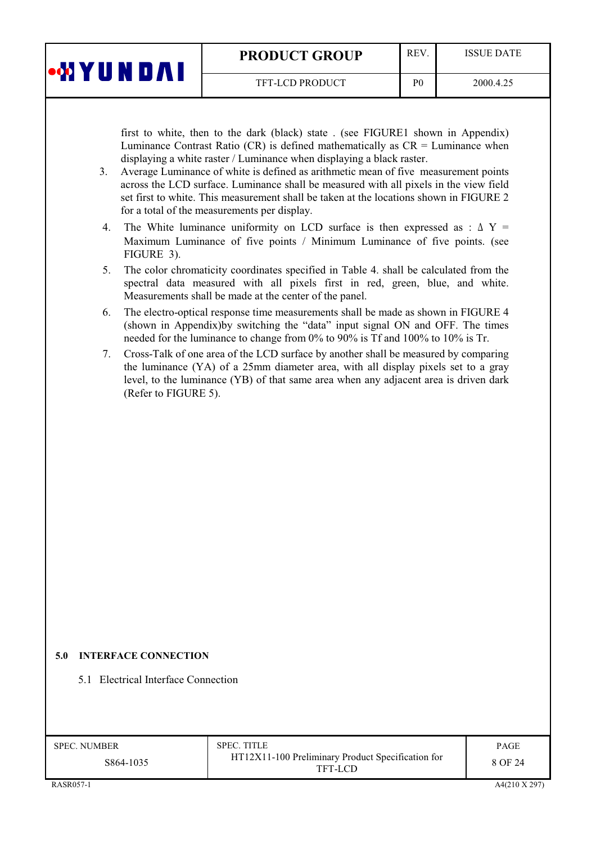|  | <b>PRODUCT GROUP</b> |  |
|--|----------------------|--|
|  |                      |  |

 $P<sub>0</sub>$ 

TFT-LCD PRODUCT

first to white, then to the dark (black) state. (see FIGURE1 shown in Appendix) Luminance Contrast Ratio (CR) is defined mathematically as  $CR =$  Luminance when displaying a white raster / Luminance when displaying a black raster.

- Average Luminance of white is defined as arithmetic mean of five measurement points  $3<sub>1</sub>$ across the LCD surface. Luminance shall be measured with all pixels in the view field set first to white. This measurement shall be taken at the locations shown in FIGURE 2 for a total of the measurements per display.
- The White luminance uniformity on LCD surface is then expressed as :  $\Delta Y =$ 4. Maximum Luminance of five points / Minimum Luminance of five points. (see FIGURE 3).
- The color chromaticity coordinates specified in Table 4, shall be calculated from the  $5<sub>1</sub>$ spectral data measured with all pixels first in red, green, blue, and white. Measurements shall be made at the center of the panel.
- 6. The electro-optical response time measurements shall be made as shown in FIGURE 4 (shown in Appendix) by switching the "data" input signal ON and OFF. The times needed for the luminance to change from 0% to 90% is Tf and 100% to 10% is Tr.
- Cross-Talk of one area of the LCD surface by another shall be measured by comparing 7. the luminance (YA) of a 25mm diameter area, with all display pixels set to a gray level, to the luminance (YB) of that same area when any adjacent area is driven dark (Refer to FIGURE 5).

### **5.0 INTERFACE CONNECTION**

**WYUNDAI** 

5.1 Electrical Interface Connection

| <b>SPEC. NUMBER</b> | <b>SPEC. TITLE</b>                                           | <b>PAGE</b> |
|---------------------|--------------------------------------------------------------|-------------|
| S864-1035           | HT12X11-100 Preliminary Product Specification for<br>TFT-LCD | 8 OF 24     |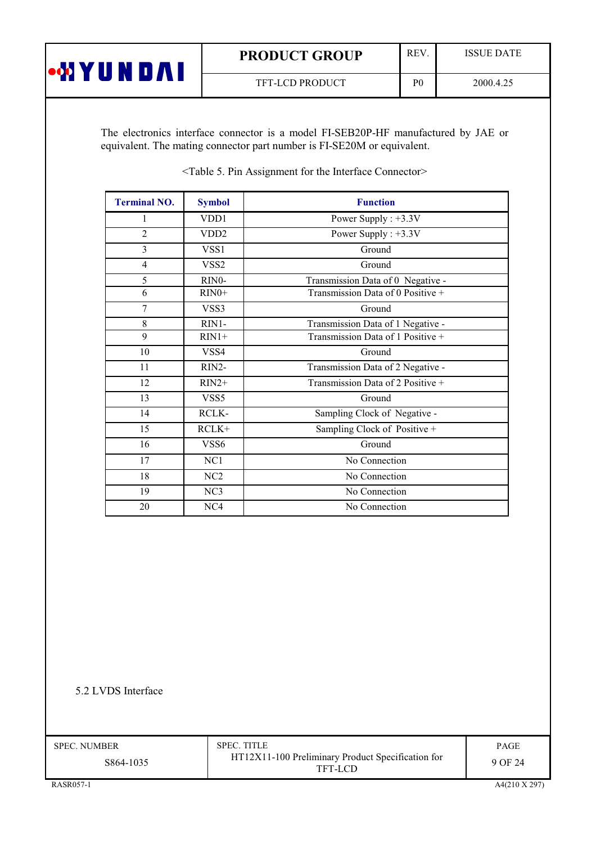| <b>PRODUCT GROUP</b> |
|----------------------|
|----------------------|

TFT-LCD PRODUCT

REV.

 $P<sub>0</sub>$ 

**ISSUE DATE** 

The electronics interface connector is a model FI-SEB20P-HF manufactured by JAE or equivalent. The mating connector part number is FI-SE20M or equivalent.

| <b>Terminal NO.</b> | <b>Symbol</b>     | <b>Function</b>                   |
|---------------------|-------------------|-----------------------------------|
| 1                   | VDD1              | Power Supply : $+3.3V$            |
| $\overline{2}$      | VD <sub>D</sub> 2 | Power Supply : $+3.3V$            |
| 3                   | VSS <sub>1</sub>  | Ground                            |
| $\overline{4}$      | VSS <sub>2</sub>  | Ground                            |
| 5                   | RINO-             | Transmission Data of 0 Negative - |
| 6                   | $RIN0+$           | Transmission Data of 0 Positive + |
| 7                   | VSS3              | Ground                            |
| 8                   | RIN1-             | Transmission Data of 1 Negative - |
| 9                   | $RIN1+$           | Transmission Data of 1 Positive + |
| 10                  | VSS4              | Ground                            |
| 11                  | RIN2-             | Transmission Data of 2 Negative - |
| 12                  | $RIN2+$           | Transmission Data of 2 Positive + |
| 13                  | VSS5              | Ground                            |
| 14                  | RCLK-             | Sampling Clock of Negative -      |
| 15                  | $RCLK+$           | Sampling Clock of Positive +      |
| 16                  | VSS6              | Ground                            |
| 17                  | NC1               | No Connection                     |
| 18                  | NC <sub>2</sub>   | No Connection                     |
| 19                  | NC <sub>3</sub>   | No Connection                     |
| 20                  | NC4               | No Connection                     |

<Table 5. Pin Assignment for the Interface Connector>

5.2 LVDS Interface

**WYUNDAI** 

**SPEC. NUMBER** 

S864-1035

**SPEC. TITLE** HT12X11-100 Preliminary Product Specification for TFT-LCD

PAGE 9 OF 24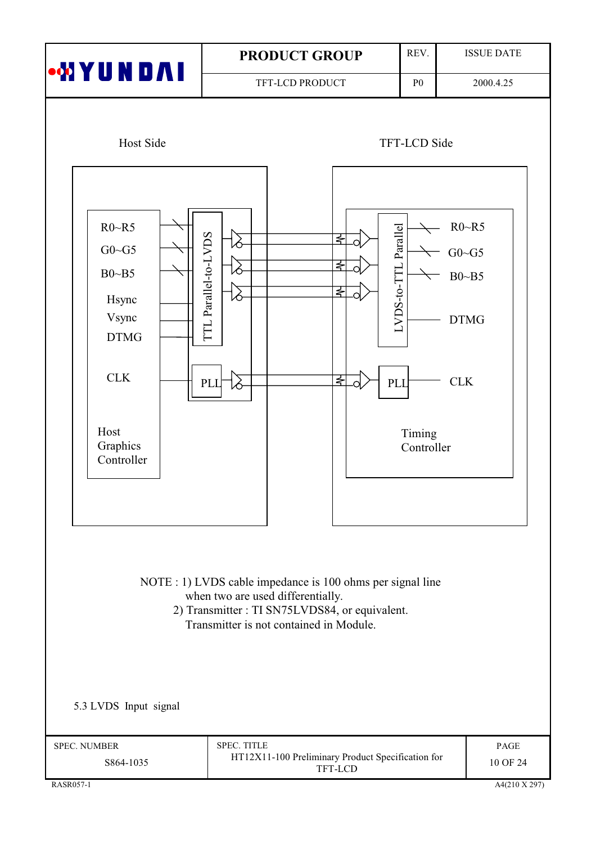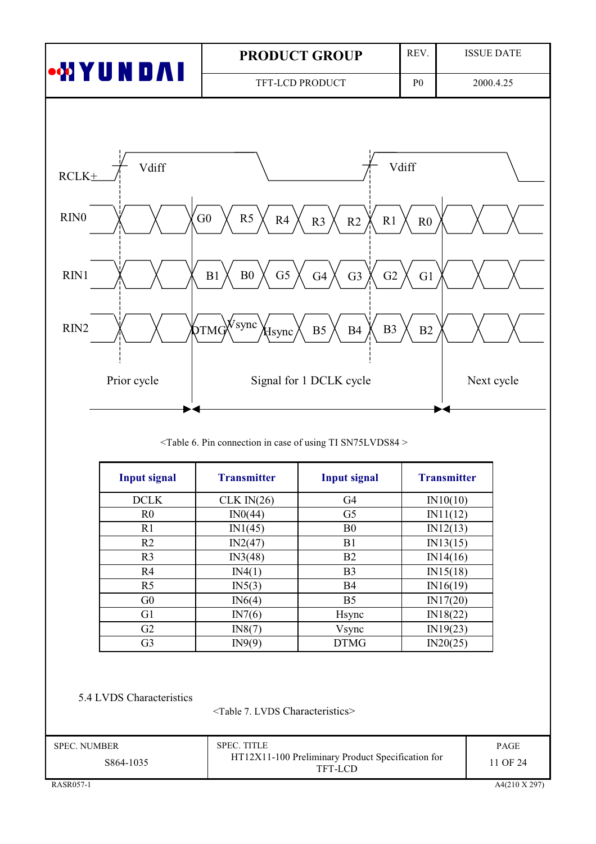|                                  |                                                                                             | <b>PRODUCT GROUP</b>                               | REV.                 | <b>ISSUE DATE</b> |
|----------------------------------|---------------------------------------------------------------------------------------------|----------------------------------------------------|----------------------|-------------------|
| ∙MYUND∧I                         |                                                                                             | TFT-LCD PRODUCT                                    | P <sub>0</sub>       | 2000.4.25         |
|                                  |                                                                                             |                                                    |                      |                   |
| Vdiff<br>$RCLK+$                 |                                                                                             |                                                    | Vdiff                |                   |
| RIN <sub>0</sub>                 | G <sub>0</sub><br>R <sub>5</sub><br>R4                                                      | R2<br>R1<br>R <sub>3</sub>                         | ${\rm R0}$           |                   |
| RIN1                             | G <sub>5</sub><br>B <sub>0</sub><br>B1                                                      | G2<br>G <sub>3</sub><br>G4                         | G1                   |                   |
| RIN2                             | $\gamma$ TMG $\sqrt{V}$ sync<br>Hsync                                                       | B <sub>3</sub><br>B <sub>4</sub><br>B <sub>5</sub> | $\rm B2$             |                   |
| Prior cycle                      |                                                                                             | Signal for 1 DCLK cycle                            |                      | Next cycle        |
|                                  | <table 6.="" case="" connection="" in="" of="" pin="" sn75lvds84="" ti="" using=""></table> |                                                    |                      |                   |
| <b>Input signal</b>              | <b>Transmitter</b>                                                                          | <b>Input signal</b>                                | <b>Transmitter</b>   |                   |
| DCLK                             | CLK $IN(26)$                                                                                | G <sub>4</sub>                                     | IN10(10)             |                   |
| R <sub>0</sub>                   | IN0(44)                                                                                     | G <sub>5</sub>                                     | IN11(12)             |                   |
| R1                               | IN1(45)                                                                                     | B <sub>0</sub>                                     | IN12(13)             |                   |
| R2                               | IN2(47)                                                                                     | B1                                                 | IN13(15)             |                   |
| R <sub>3</sub>                   | IN3(48)                                                                                     | B2                                                 | IN14(16)             |                   |
| R4                               | IN4(1)                                                                                      | B <sub>3</sub>                                     | IN15(18)             |                   |
| R <sub>5</sub>                   | IN5(3)                                                                                      | B4                                                 | IN16(19)             |                   |
| G <sub>0</sub><br>G1             | IN6(4)                                                                                      | B <sub>5</sub>                                     | IN17(20)             |                   |
| G2                               | IN7(6)                                                                                      | Hsync                                              | IN18(22)             |                   |
| G <sub>3</sub>                   | IN8(7)<br>IN9(9)                                                                            | Vsync<br><b>DTMG</b>                               | IN19(23)<br>IN20(25) |                   |
|                                  |                                                                                             |                                                    |                      |                   |
| 5.4 LVDS Characteristics         |                                                                                             |                                                    |                      |                   |
| <b>SPEC. NUMBER</b><br>S864-1035 | <table 7.="" characteristics="" lvds=""><br/>SPEC. TITLE</table>                            | HT12X11-100 Preliminary Product Specification for  |                      | PAGE<br>11 OF 24  |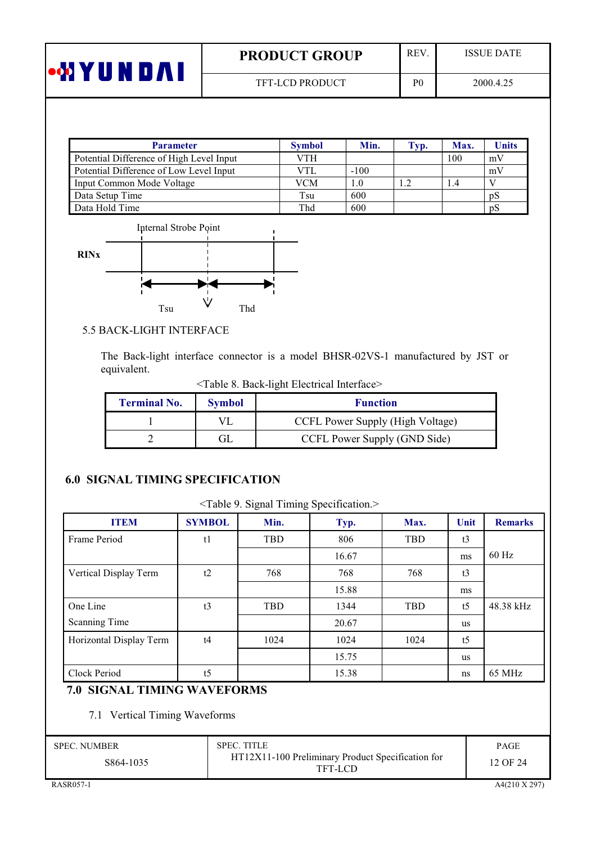| •WYUNDAI | <b>PRODUCT GROUP</b>   | <b>REV</b>     | <b>ISSUE DATE</b> |
|----------|------------------------|----------------|-------------------|
|          | <b>TFT-LCD PRODUCT</b> | P <sub>0</sub> | 2000.4.25         |

| <b>Parameter</b>                         | <b>Symbol</b> | Min.   | Typ. | Max. | <b>Units</b> |
|------------------------------------------|---------------|--------|------|------|--------------|
| Potential Difference of High Level Input | VTH           |        |      | 100  | mV           |
| Potential Difference of Low Level Input  | VTI.          | $-100$ |      |      | mV           |
| Input Common Mode Voltage                | VCM           | 1.0    |      | 1.4  |              |
| Data Setup Time                          | Tsu           | 600    |      |      | pS           |
| Data Hold Time                           | Thd           | 600    |      |      | pS           |



# 5.5 BACK-LIGHT INTERFACE

The Back-light interface connector is a model BHSR-02VS-1 manufactured by JST or equivalent.

<Table 8. Back-light Electrical Interface>

| <b>Terminal No.</b> | <b>Symbol</b> | <b>Function</b>                  |
|---------------------|---------------|----------------------------------|
|                     |               | CCFL Power Supply (High Voltage) |
|                     |               | CCFL Power Supply (GND Side)     |

# **6.0 SIGNAL TIMING SPECIFICATION**

| <b>ITEM</b>                        | <b>SYMBOL</b>  | Min.       | Typ.  | Max.       | Unit           | <b>Remarks</b> |
|------------------------------------|----------------|------------|-------|------------|----------------|----------------|
| Frame Period                       | t1             | TBD        | 806   | TBD        | t3             |                |
|                                    |                |            | 16.67 |            | ms             | 60 Hz          |
| Vertical Display Term              | t2             | 768        | 768   | 768        | t3             |                |
|                                    |                |            | 15.88 |            | ms             |                |
| One Line                           | t3             | <b>TBD</b> | 1344  | <b>TBD</b> | t <sub>5</sub> | 48.38 kHz      |
| Scanning Time                      |                |            | 20.67 |            | <b>us</b>      |                |
| Horizontal Display Term            | t4             | 1024       | 1024  | 1024       | t <sub>5</sub> |                |
|                                    |                |            | 15.75 |            | <b>us</b>      |                |
| Clock Period                       | t <sub>5</sub> |            | 15.38 |            | ns             | 65 MHz         |
| <b>7.0 SIGNAL TIMING WAVEFORMS</b> |                |            |       |            |                |                |

7.1 Vertical Timing Waveforms

| <b>SPEC. NUMBER</b> | <b>SPEC. TITLE</b>                                           | <b>PAGE</b> |
|---------------------|--------------------------------------------------------------|-------------|
| S864-1035           | HT12X11-100 Preliminary Product Specification for<br>TFT-LCD | 12 OF 24    |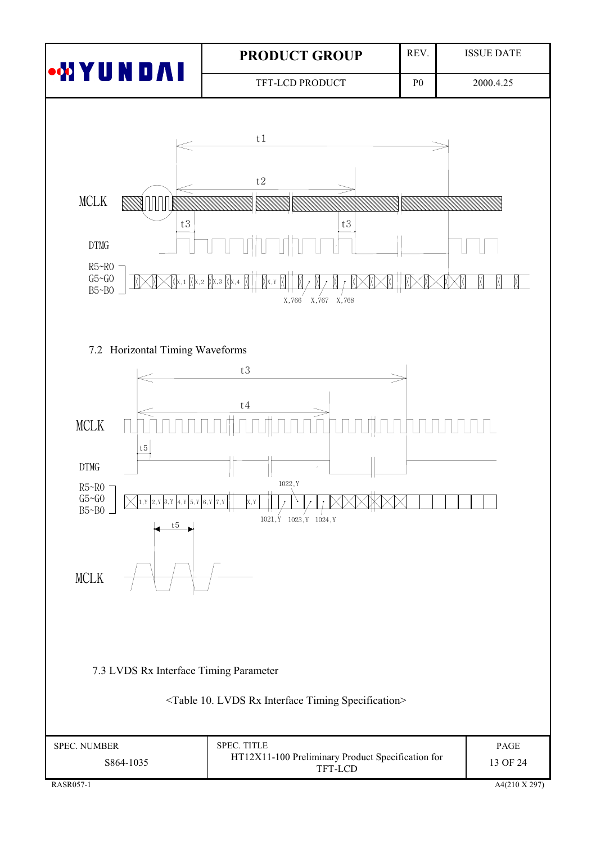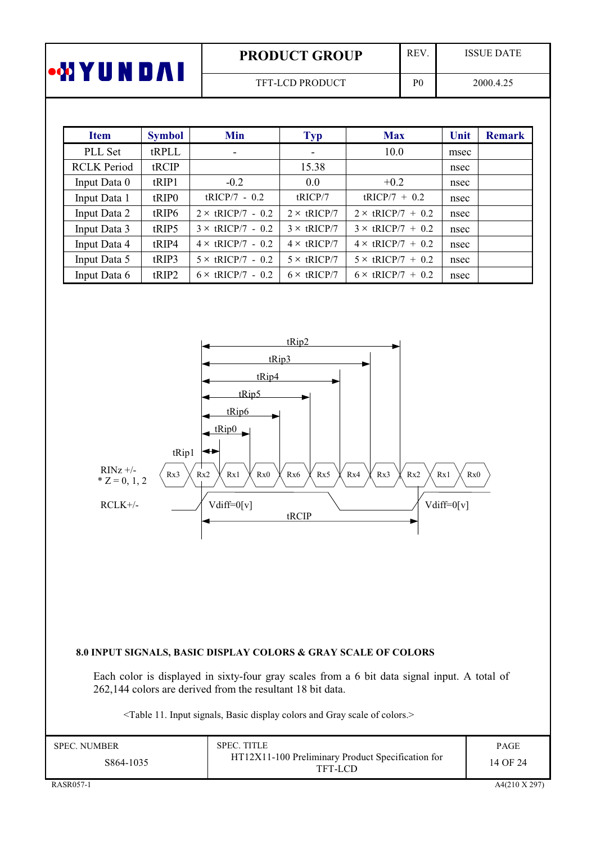| <b>PRODUCT GROUP</b>   | REV            | <b>ISSUE DATE</b> |
|------------------------|----------------|-------------------|
| <b>TFT-LCD PRODUCT</b> | P <sub>0</sub> | 2000.4.25         |

| <b>Item</b>        | <b>Symbol</b>     | Min                      | <b>Typ</b>         | <b>Max</b>               | Unit | <b>Remark</b> |
|--------------------|-------------------|--------------------------|--------------------|--------------------------|------|---------------|
| PLL Set            | tRPLL             | ۰                        |                    | 10.0                     | msec |               |
| <b>RCLK Period</b> | tRCIP             |                          | 15.38              |                          | nsec |               |
| Input Data 0       | tRIP1             | $-0.2$                   | 0.0                | $+0.2$                   | nsec |               |
| Input Data 1       | tRIP <sub>0</sub> | $tRICP/7 - 0.2$          | tRICP/7            | $tRICP/7 + 0.2$          | nsec |               |
| Input Data 2       | tRIP6             | $2 \times$ tRICP/7 - 0.2 | $2 \times$ tRICP/7 | $2 \times$ tRICP/7 + 0.2 | nsec |               |
| Input Data 3       | tRIP5             | $3 \times$ tRICP/7 - 0.2 | $3 \times$ tRICP/7 | $3 \times$ tRICP/7 + 0.2 | nsec |               |
| Input Data 4       | tRIP4             | $4 \times$ tRICP/7 - 0.2 | $4 \times$ tRICP/7 | $4 \times$ tRICP/7 + 0.2 | nsec |               |
| Input Data 5       | tRIP3             | $5 \times$ tRICP/7 - 0.2 | $5 \times$ tRICP/7 | $5 \times$ tRICP/7 + 0.2 | nsec |               |
| Input Data 6       | tRIP2             | $6 \times$ tRICP/7 - 0.2 | $6 \times$ tRICP/7 | $6 \times$ tRICP/7 + 0.2 | nsec |               |



#### 8.0 INPUT SIGNALS, BASIC DISPLAY COLORS & GRAY SCALE OF COLORS

Each color is displayed in sixty-four gray scales from a 6 bit data signal input. A total of 262,144 colors are derived from the resultant 18 bit data.

<Table 11. Input signals, Basic display colors and Gray scale of colors.>

| SPEC. NUMBER<br>S864-1035 | <b>SPEC. TITLE</b><br>HT12X11-100 Preliminary Product Specification for<br>TFT-LCD | <b>PAGE</b><br>14 OF 24 |
|---------------------------|------------------------------------------------------------------------------------|-------------------------|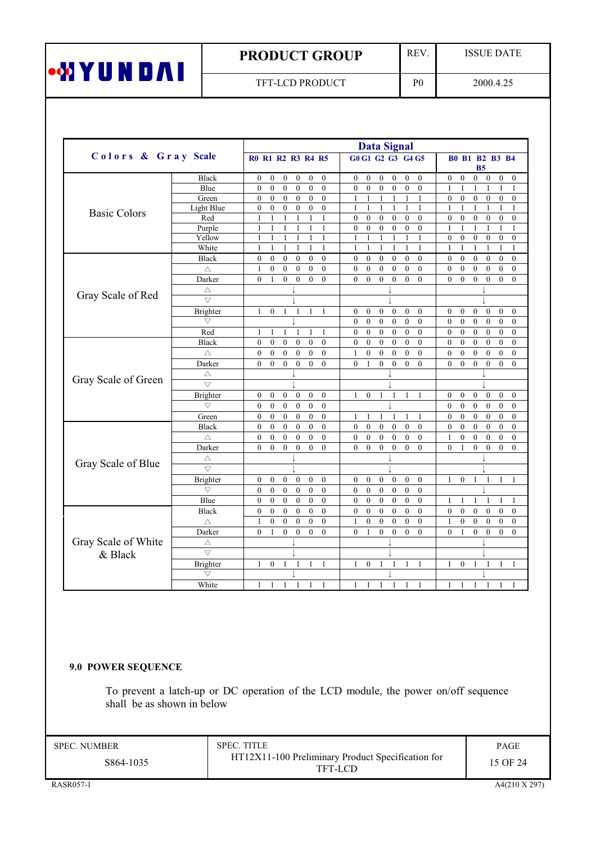# **PRODUCT GROUP**

TFT-LCD PRODUCT

REV.

 $P<sub>0</sub>$ 

**ISSUE DATE** 

2000.4.25

|                     |                     |                                                                                                                      | <b>Data Signal</b>                                                                                           |                                                                                                                      |
|---------------------|---------------------|----------------------------------------------------------------------------------------------------------------------|--------------------------------------------------------------------------------------------------------------|----------------------------------------------------------------------------------------------------------------------|
| Colors & Gray Scale |                     | <b>R0 R1 R2 R3 R4 R5</b>                                                                                             | G0 G1 G2 G3 G4 G5                                                                                            | <b>B0 B1 B2 B3 B4</b><br><b>B5</b>                                                                                   |
|                     | Black               | $\boldsymbol{0}$<br>$\boldsymbol{0}$<br>$\boldsymbol{0}$<br>$\boldsymbol{0}$<br>$\boldsymbol{0}$<br>$\mathbf{0}$     | $\mathbf{0}$<br>$\boldsymbol{0}$<br>$\boldsymbol{0}$<br>$\bf{0}$<br>$\bf{0}$<br>$\mathbf{0}$                 | $\mathbf{0}$<br>$\boldsymbol{0}$<br>$\boldsymbol{0}$<br>$\mathbf{0}$<br>$\bf{0}$<br>$\mathbf{0}$                     |
|                     | Blue                | $\theta$<br>$\theta$<br>$\mathbf{0}$<br>$\mathbf{0}$<br>$\mathbf{0}$<br>$\mathbf{0}$                                 | $\mathbf{0}$<br>$\mathbf{0}$<br>$\mathbf{0}$<br>$\mathbf{0}$<br>$\mathbf{0}$<br>$\mathbf{0}$                 | $\mathbf{1}$<br>1<br>$\mathbf{1}$<br>$\mathbf{1}$<br>1<br>1                                                          |
|                     | Green               | $\boldsymbol{0}$<br>$\boldsymbol{0}$<br>$\boldsymbol{0}$<br>$\boldsymbol{0}$<br>$\boldsymbol{0}$<br>$\boldsymbol{0}$ | $\mathbf{1}$<br>$\mathbf{1}$<br>1<br>1<br>1<br>1                                                             | $\boldsymbol{0}$<br>$\boldsymbol{0}$<br>$\boldsymbol{0}$<br>$\boldsymbol{0}$<br>$\boldsymbol{0}$<br>$\boldsymbol{0}$ |
| <b>Basic Colors</b> | Light Blue          | $\mathbf{0}$<br>$\mathbf{0}$<br>$\mathbf{0}$<br>$\mathbf{0}$<br>$\mathbf{0}$<br>$\mathbf{0}$                         | $\mathbf{1}$<br>$\mathbf{1}$<br>$\mathbf{1}$<br>$\mathbf{1}$<br>$\mathbf{1}$<br>$\mathbf{1}$                 | $\mathbf{1}$<br>1<br>$\mathbf{1}$<br>$\mathbf{1}$<br>$\mathbf{1}$<br>$\mathbf{1}$                                    |
|                     | Red                 | $\mathbf{1}$<br>$\overline{1}$<br>1<br>$\mathbf{1}$<br>$\mathbf{1}$<br>1                                             | $\mathbf{0}$<br>$\mathbf{0}$<br>$\mathbf{0}$<br>$\mathbf{0}$<br>$\mathbf{0}$<br>$\mathbf{0}$                 | $\overline{0}$<br>$\mathbf{0}$<br>$\mathbf{0}$<br>$\mathbf{0}$<br>$\mathbf{0}$<br>$\mathbf{0}$                       |
|                     | Purple              | $\mathbf{1}$<br>$\mathbf{1}$<br>1<br>$\mathbf{1}$<br>$\mathbf{1}$<br>$\mathbf{1}$                                    | $\mathbf{0}$<br>$\mathbf{0}$<br>$\boldsymbol{0}$<br>$\mathbf{0}$<br>$\mathbf{0}$<br>$\mathbf{0}$             | $\mathbf{1}$<br>$\mathbf{1}$<br>$\mathbf{1}$<br>$\mathbf{1}$<br>$\mathbf{1}$<br>$\mathbf{1}$                         |
|                     | Yellow              | $\mathbf{1}$<br>$\mathbf{1}$<br>1<br>1<br>1<br>$\mathbf{1}$                                                          | $\mathbf{1}$<br>$\mathbf{1}$<br>1<br>1<br>1<br>1                                                             | $\mathbf{0}$<br>$\mathbf{0}$<br>$\boldsymbol{0}$<br>$\mathbf{0}$<br>$\mathbf{0}$<br>$\mathbf{0}$                     |
|                     | White               | $\mathbf{1}$<br>$\mathbf{1}$<br>1<br>$\mathbf{1}$<br>$\mathbf{1}$<br>$\mathbf{1}$                                    | $\mathbf{1}$<br>$\mathbf{1}$<br>$\mathbf{1}$<br>1<br>1<br>$\mathbf{1}$                                       | $\mathbf{1}$<br>$\mathbf{1}$<br>$\mathbf{1}$<br>$\mathbf{1}$<br>$\mathbf{1}$<br>$\mathbf{1}$                         |
|                     | <b>Black</b>        | $\mathbf{0}$<br>$\mathbf{0}$<br>$\boldsymbol{0}$<br>$\boldsymbol{0}$<br>$\boldsymbol{0}$<br>$\boldsymbol{0}$         | $\mathbf{0}$<br>$\mathbf{0}$<br>$\mathbf{0}$<br>$\mathbf{0}$<br>$\bf{0}$<br>$\mathbf{0}$                     | $\mathbf{0}$<br>$\mathbf{0}$<br>$\boldsymbol{0}$<br>$\boldsymbol{0}$<br>$\boldsymbol{0}$<br>$\boldsymbol{0}$         |
|                     | $\triangle$         | $\mathbf{0}$<br>$\mathbf{0}$<br>$\mathbf{0}$<br>$\mathbf{0}$<br>$\mathbf{0}$<br>1                                    | $\mathbf{0}$<br>$\mathbf{0}$<br>$\mathbf{0}$<br>$\mathbf{0}$<br>$\mathbf{0}$<br>$\mathbf{0}$                 | $\mathbf{0}$<br>$\mathbf{0}$<br>$\mathbf{0}$<br>$\mathbf{0}$<br>$\mathbf{0}$<br>$\mathbf{0}$                         |
|                     | Darker              | $\theta$<br>$\mathbf{0}$<br>$\mathbf{0}$<br>$\mathbf{0}$<br>$\mathbf{0}$<br>$\mathbf{1}$                             | $\theta$<br>$\mathbf{0}$<br>$\mathbf{0}$<br>$\mathbf{0}$<br>$\mathbf{0}$<br>$\mathbf{0}$                     | $\overline{0}$<br>$\theta$<br>$\theta$<br>$\mathbf{0}$<br>$\mathbf{0}$<br>$\mathbf{0}$                               |
|                     | Δ                   |                                                                                                                      |                                                                                                              |                                                                                                                      |
| Gray Scale of Red   | $\bigtriangledown$  |                                                                                                                      |                                                                                                              |                                                                                                                      |
|                     | Brighter            | $\mathbf{0}$<br>1<br>1<br>1<br>1<br>1                                                                                | $\mathbf{0}$<br>$\mathbf{0}$<br>$\mathbf{0}$<br>$\mathbf{0}$<br>$\mathbf{0}$<br>$\mathbf{0}$                 | $\mathbf{0}$<br>$\mathbf{0}$<br>$\mathbf{0}$<br>$\boldsymbol{0}$<br>$\mathbf{0}$<br>$\mathbf{0}$                     |
|                     | $\bigtriangledown$  |                                                                                                                      | $\mathbf{0}$<br>$\mathbf{0}$<br>$\mathbf{0}$<br>$\mathbf{0}$<br>$\mathbf{0}$<br>$\mathbf{0}$                 | $\mathbf{0}$<br>$\mathbf{0}$<br>$\mathbf{0}$<br>$\mathbf{0}$<br>$\mathbf{0}$<br>$\mathbf{0}$                         |
|                     | Red                 | 1<br>1<br>1<br>$\mathbf{1}$<br>1<br>1                                                                                | $\boldsymbol{0}$<br>$\bf{0}$<br>$\boldsymbol{0}$<br>$\mathbf{0}$<br>$\mathbf{0}$<br>$\boldsymbol{0}$         | $\mathbf{0}$<br>$\boldsymbol{0}$<br>$\boldsymbol{0}$<br>$\boldsymbol{0}$<br>$\boldsymbol{0}$<br>$\mathbf{0}$         |
|                     | <b>Black</b>        | $\theta$<br>$\theta$<br>$\theta$<br>$\mathbf{0}$<br>$\mathbf{0}$<br>$\mathbf{0}$                                     | $\theta$<br>$\theta$<br>$\theta$<br>$\theta$<br>$\theta$<br>$\theta$                                         | $\theta$<br>$\theta$<br>$\theta$<br>$\theta$<br>$\theta$<br>$\theta$                                                 |
|                     | Δ                   | $\mathbf{0}$<br>$\boldsymbol{0}$<br>$\boldsymbol{0}$<br>$\boldsymbol{0}$<br>$\boldsymbol{0}$<br>$\boldsymbol{0}$     | $\boldsymbol{0}$<br>$\boldsymbol{0}$<br>$\boldsymbol{0}$<br>$\boldsymbol{0}$<br>$\mathbf{0}$<br>$\mathbf{1}$ | $\boldsymbol{0}$<br>$\boldsymbol{0}$<br>$\boldsymbol{0}$<br>$\boldsymbol{0}$<br>$\boldsymbol{0}$<br>$\boldsymbol{0}$ |
|                     | Darker              | $\theta$<br>$\theta$<br>$\theta$<br>$\theta$<br>$\mathbf{0}$<br>$\Omega$                                             | $\mathbf{0}$<br>$\theta$<br>$\theta$<br>$\mathbf{1}$<br>$\Omega$<br>$\Omega$                                 | $\theta$<br>$\theta$<br>$\theta$<br>$\theta$<br>$\mathbf{0}$<br>$\theta$                                             |
|                     | Δ                   |                                                                                                                      |                                                                                                              |                                                                                                                      |
| Gray Scale of Green | $\overline{\nabla}$ |                                                                                                                      |                                                                                                              |                                                                                                                      |
|                     | Brighter            | $\boldsymbol{0}$<br>$\boldsymbol{0}$<br>$\boldsymbol{0}$<br>$\mathbf{0}$<br>$\mathbf{0}$<br>$\mathbf{0}$             | $\mathbf{0}$<br>1<br>1<br>1<br>1<br>1                                                                        | $\mathbf{0}$<br>$\boldsymbol{0}$<br>$\boldsymbol{0}$<br>$\boldsymbol{0}$<br>$\mathbf{0}$<br>$\mathbf{0}$             |
|                     | $\bigtriangledown$  | $\mathbf{0}$<br>$\mathbf{0}$<br>$\mathbf{0}$<br>$\mathbf{0}$<br>$\mathbf{0}$<br>$\theta$                             |                                                                                                              | $\mathbf{0}$<br>$\mathbf{0}$<br>$\mathbf{0}$<br>$\mathbf{0}$<br>$\mathbf{0}$<br>$\Omega$                             |
|                     | Green               | $\boldsymbol{0}$<br>$\boldsymbol{0}$<br>$\mathbf{0}$<br>$\mathbf{0}$<br>$\mathbf{0}$<br>$\boldsymbol{0}$             | $\mathbf{1}$<br>1<br>-1<br>1<br>1                                                                            | $\boldsymbol{0}$<br>$\boldsymbol{0}$<br>$\mathbf{0}$<br>$\mathbf{0}$<br>$\boldsymbol{0}$<br>$\mathbf{0}$             |
|                     | Black               | $\mathbf{0}$<br>$\mathbf{0}$<br>$\mathbf{0}$<br>$\mathbf{0}$<br>$\mathbf{0}$<br>$\mathbf{0}$                         | $\mathbf{0}$<br>$\mathbf{0}$<br>$\mathbf{0}$<br>$\mathbf{0}$<br>$\mathbf{0}$<br>$\mathbf{0}$                 | $\mathbf{0}$<br>$\mathbf{0}$<br>$\mathbf{0}$<br>$\mathbf{0}$<br>$\mathbf{0}$<br>$\mathbf{0}$                         |
|                     | Δ                   | $\mathbf{0}$<br>$\mathbf{0}$<br>$\mathbf{0}$<br>$\mathbf{0}$<br>$\boldsymbol{0}$<br>$\boldsymbol{0}$                 | $\mathbf{0}$<br>$\boldsymbol{0}$<br>$\mathbf{0}$<br>$\boldsymbol{0}$<br>$\mathbf{0}$<br>$\mathbf{0}$         | $\mathbf{1}$<br>$\overline{0}$<br>$\boldsymbol{0}$<br>$\boldsymbol{0}$<br>$\boldsymbol{0}$<br>$\boldsymbol{0}$       |
|                     | Darker              | $\theta$<br>$\mathbf{0}$<br>$\mathbf{0}$<br>$\boldsymbol{0}$<br>$\boldsymbol{0}$<br>$\mathbf{0}$                     | $\theta$<br>$\mathbf{0}$<br>$\mathbf{0}$<br>$\mathbf{0}$<br>$\mathbf{0}$<br>$\mathbf{0}$                     | $\mathbf{0}$<br>$\mathbf{0}$<br>$\boldsymbol{0}$<br>$\boldsymbol{0}$<br>$\mathbf{0}$<br>1                            |
|                     | Δ                   |                                                                                                                      |                                                                                                              |                                                                                                                      |
| Gray Scale of Blue  | $\overline{\nabla}$ |                                                                                                                      |                                                                                                              |                                                                                                                      |
|                     | Brighter            | $\mathbf{0}$<br>$\boldsymbol{0}$<br>$\boldsymbol{0}$<br>$\boldsymbol{0}$<br>$\boldsymbol{0}$<br>$\boldsymbol{0}$     | $\boldsymbol{0}$<br>$\mathbf{0}$<br>$\bf{0}$<br>$\boldsymbol{0}$<br>$\mathbf{0}$<br>$\mathbf{0}$             | 1<br>$\overline{0}$<br>$\mathbf{1}$<br>$\mathbf{1}$<br>1                                                             |
|                     | $\bigtriangledown$  | $\mathbf{0}$<br>$\mathbf{0}$<br>$\mathbf{0}$<br>$\boldsymbol{0}$<br>$\boldsymbol{0}$<br>$\mathbf{0}$                 | $\mathbf{0}$<br>$\mathbf{0}$<br>$\mathbf{0}$<br>$\mathbf{0}$<br>$\mathbf{0}$<br>$\theta$                     |                                                                                                                      |
|                     | Blue                | $\mathbf{0}$<br>$\boldsymbol{0}$<br>$\boldsymbol{0}$<br>$\boldsymbol{0}$<br>$\mathbf{0}$<br>$\mathbf{0}$             | $\mathbf{0}$<br>$\mathbf{0}$<br>$\mathbf{0}$<br>$\boldsymbol{0}$<br>$\mathbf{0}$<br>$\mathbf{0}$             | 1<br>1                                                                                                               |
|                     | <b>Black</b>        | $\mathbf{0}$<br>$\boldsymbol{0}$<br>$\mathbf{0}$<br>$\mathbf{0}$<br>$\boldsymbol{0}$<br>$\boldsymbol{0}$             | $\mathbf{0}$<br>$\mathbf{0}$<br>$\mathbf{0}$<br>$\boldsymbol{0}$<br>$\mathbf{0}$<br>$\mathbf{0}$             | $\mathbf{0}$<br>$\mathbf{0}$<br>$\mathbf{0}$<br>$\mathbf{0}$<br>$\mathbf{0}$<br>$\mathbf{0}$                         |
|                     | Δ                   | $\mathbf{0}$<br>$\mathbf{0}$<br>$\mathbf{0}$<br>$\mathbf{0}$<br>$\mathbf{0}$<br>1                                    | $\mathbf{1}$<br>$\mathbf{0}$<br>$\mathbf{0}$<br>$\mathbf{0}$<br>$\mathbf{0}$<br>$\theta$                     | $\mathbf{0}$<br>$\mathbf{0}$<br>$\mathbf{0}$<br>$\mathbf{0}$<br>$\mathbf{0}$<br>1                                    |
|                     | Darker              | $\theta$<br>$\mathbf{0}$<br>$\mathbf{0}$<br>$\mathbf{0}$<br>$\mathbf{0}$<br>1                                        | $\theta$<br>$\mathbf{0}$<br>$\mathbf{0}$<br>$\mathbf{0}$<br>$\mathbf{0}$<br>$\mathbf{1}$                     | $\theta$<br>$\mathbf{0}$<br>$\boldsymbol{0}$<br>$\boldsymbol{0}$<br>$\mathbf{0}$<br>1                                |
| Gray Scale of White | Δ                   |                                                                                                                      |                                                                                                              |                                                                                                                      |
| & Black             | $\bigtriangledown$  |                                                                                                                      |                                                                                                              |                                                                                                                      |
|                     | Brighter            | $\boldsymbol{0}$<br>1<br>1<br>1<br>1<br>1                                                                            | $\mathbf{1}$<br>$\mathbf{0}$<br>1<br>1<br>1<br>1                                                             | $\boldsymbol{0}$<br>1<br>1<br>1<br>1<br>1                                                                            |
|                     | $\bigtriangledown$  |                                                                                                                      |                                                                                                              |                                                                                                                      |
|                     | White               | $\mathbf{1}$<br>1<br>1<br>1<br>1<br>1                                                                                | $\mathbf{1}$<br>1<br>1<br>1<br>1<br>1                                                                        | $\mathbf{1}$<br>1<br>1<br>1<br>1<br>1                                                                                |
|                     |                     |                                                                                                                      |                                                                                                              |                                                                                                                      |

# 9.0 POWER SEQUENCE

To prevent a latch-up or DC operation of the LCD module, the power on/off sequence shall be as shown in below

**SPEC. NUMBER** 

S864-1035

SPEC. TITLE HT12X11-100 Preliminary Product Specification for TFT-LCD

PAGE 15 OF 24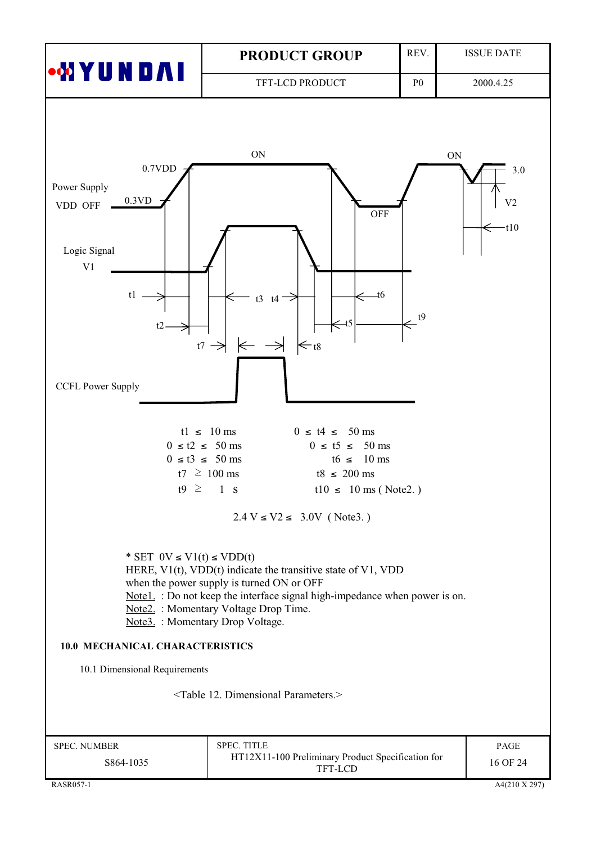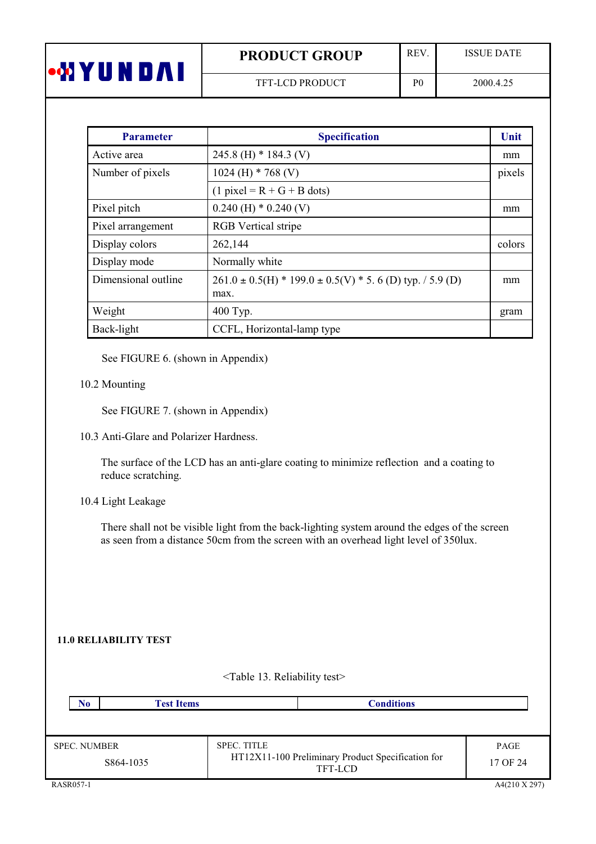|   | <b>PRODUCT GROUP</b>   | <b>REV</b>     | <b>ISSUE DATE</b> |
|---|------------------------|----------------|-------------------|
| Ш | <b>TFT-LCD PRODUCT</b> | P <sub>0</sub> | 2000.4.25         |

| <b>Parameter</b>    | <b>Specification</b>                                                      | Unit   |
|---------------------|---------------------------------------------------------------------------|--------|
| Active area         | 245.8 (H) $*$ 184.3 (V)                                                   | mm     |
| Number of pixels    | 1024 (H) $*$ 768 (V)                                                      | pixels |
|                     | $(1$ pixel = R + G + B dots)                                              |        |
| Pixel pitch         | $0.240$ (H) $*$ 0.240 (V)                                                 | mm     |
| Pixel arrangement   | <b>RGB</b> Vertical stripe                                                |        |
| Display colors      | 262,144                                                                   | colors |
| Display mode        | Normally white                                                            |        |
| Dimensional outline | $261.0 \pm 0.5$ (H) * 199.0 $\pm$ 0.5(V) * 5.6 (D) typ. / 5.9 (D)<br>max. | mm     |
| Weight              | 400 Typ.                                                                  | gram   |
| Back-light          | CCFL, Horizontal-lamp type                                                |        |

See FIGURE 6. (shown in Appendix)

### 10.2 Mounting

See FIGURE 7. (shown in Appendix)

10.3 Anti-Glare and Polarizer Hardness.

The surface of the LCD has an anti-glare coating to minimize reflection and a coating to reduce scratching.

# 10.4 Light Leakage

There shall not be visible light from the back-lighting system around the edges of the screen as seen from a distance 50cm from the screen with an overhead light level of 350lux.

### **11.0 RELIABILITY TEST**

| <b>Conditions</b>                                                                  |                  |
|------------------------------------------------------------------------------------|------------------|
|                                                                                    |                  |
|                                                                                    |                  |
| <b>SPEC. TITLE</b><br>HT12X11-100 Preliminary Product Specification for<br>TFT-LCD | PAGE<br>17 OF 24 |
|                                                                                    |                  |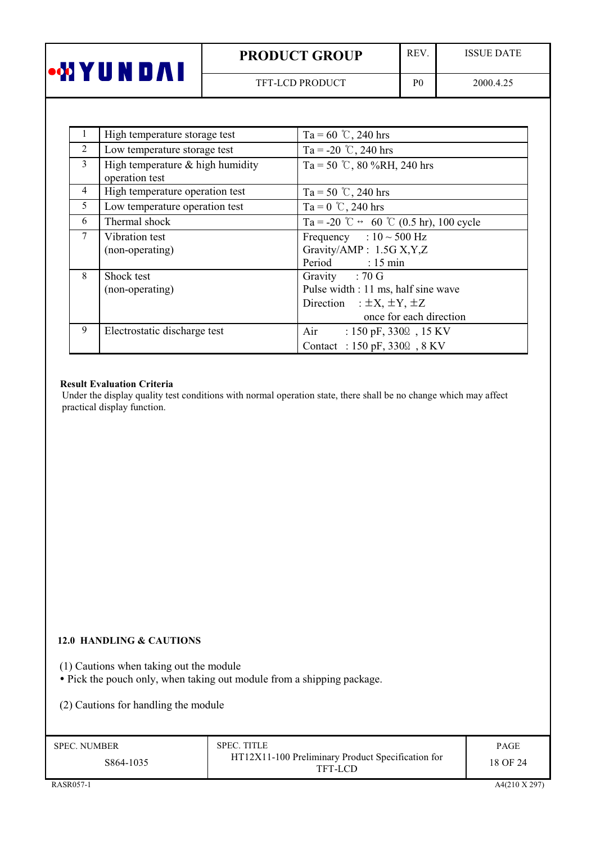| •WYUNDAI |  |  |  |
|----------|--|--|--|
|          |  |  |  |

REV.

 $P<sub>0</sub>$ 

**ISSUE DATE** 

|                | High temperature storage test                        | Ta = 60 °C, 240 hrs                                                                                                         |
|----------------|------------------------------------------------------|-----------------------------------------------------------------------------------------------------------------------------|
| 2              | Low temperature storage test                         | Ta = -20 °C, 240 hrs                                                                                                        |
| 3              | High temperature $&$ high humidity<br>operation test | Ta = 50 °C, 80 %RH, 240 hrs                                                                                                 |
| $\overline{4}$ | High temperature operation test                      | Ta = 50 °C, 240 hrs                                                                                                         |
| 5              | Low temperature operation test                       | Ta = $0^{\circ}$ C, 240 hrs                                                                                                 |
| 6              | Thermal shock                                        | Ta = -20 °C $\leftrightarrow$ 60 °C (0.5 hr), 100 cycle                                                                     |
| $\tau$         | Vibration test<br>(non-operating)                    | Frequency : $10 \sim 500$ Hz<br>Gravity/AMP: 1.5G X, Y, Z<br>Period : 15 min                                                |
| 8              | Shock test<br>(non-operating)                        | Gravity : 70 G<br>Pulse width : 11 ms, half sine wave<br>Direction : $\pm X$ , $\pm Y$ , $\pm Z$<br>once for each direction |
| 9              | Electrostatic discharge test                         | Air<br>: $150 \text{ pF}, 330\Omega$ , $15 \text{ KV}$<br>Contact : 150 pF, 3300, 8 KV                                      |

### **Result Evaluation Criteria**

Under the display quality test conditions with normal operation state, there shall be no change which may affect practical display function.

### 12.0 HANDLING & CAUTIONS

(1) Cautions when taking out the module<br>• Pick the pouch only, when taking out module from a shipping package.

(2) Cautions for handling the module

| <b>SPEC. NUMBER</b> | <b>SPEC. TITLE</b>                                           | PAGE     |
|---------------------|--------------------------------------------------------------|----------|
| S864-1035           | HT12X11-100 Preliminary Product Specification for<br>TFT-LCD | 18 OF 24 |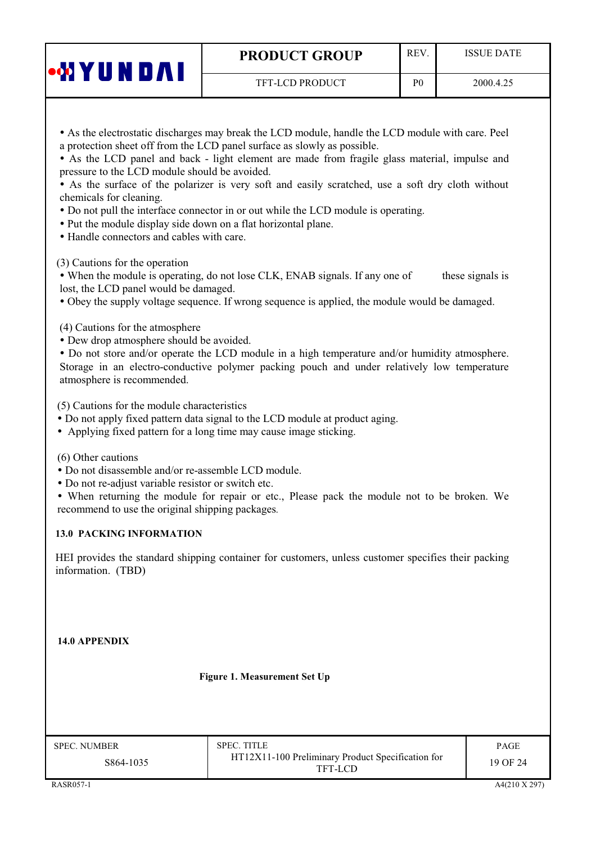TFT-LCD PRODUCT

 $P<sub>0</sub>$ 

• As the LCD panel and back - light element are made from fragile glass material, impulse and pressure to the LCD module should be avoided.

• As the surface of the polarizer is very soft and easily scratched, use a soft dry cloth without chemicals for cleaning.

- Do not pull the interface connector in or out while the LCD module is operating.
- Put the module display side down on a flat horizontal plane.
- Handle connectors and cables with care.

(3) Cautions for the operation

**WYUNDAI** 

• When the module is operating, do not lose CLK, ENAB signals. If any one of these signals is lost, the LCD panel would be damaged.

• Obey the supply voltage sequence. If wrong sequence is applied, the module would be damaged.

(4) Cautions for the atmosphere

• Dew drop atmosphere should be avoided.

• Do not store and/or operate the LCD module in a high temperature and/or humidity atmosphere. Storage in an electro-conductive polymer packing pouch and under relatively low temperature atmosphere is recommended.

(5) Cautions for the module characteristics

• Do not apply fixed pattern data signal to the LCD module at product aging.

• Applying fixed pattern for a long time may cause image sticking.

(6) Other cautions

- Do not disassemble and/or re-assemble LCD module.
- Do not re-adjust variable resistor or switch etc.

• When returning the module for repair or etc., Please pack the module not to be broken. We recommend to use the original shipping packages.

### **13.0 PACKING INFORMATION**

HEI provides the standard shipping container for customers, unless customer specifies their packing information. (TBD)

14.0 APPENDIX

Figure 1. Measurement Set Up

| <b>SPEC. NUMBER</b> |  |
|---------------------|--|
|                     |  |

S864-1035

**SPEC. TITLE** HT12X11-100 Preliminary Product Specification for **TFT-LCD** 

PAGE 19 OF 24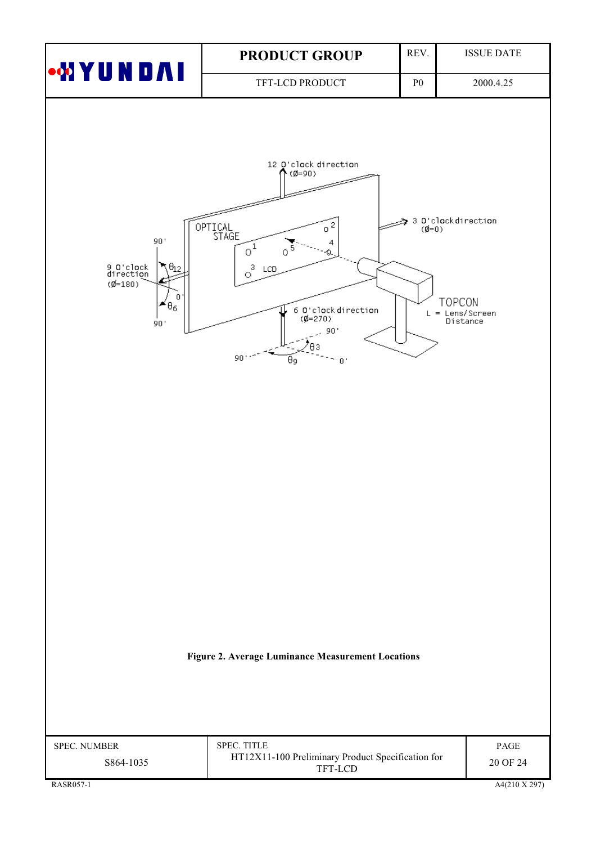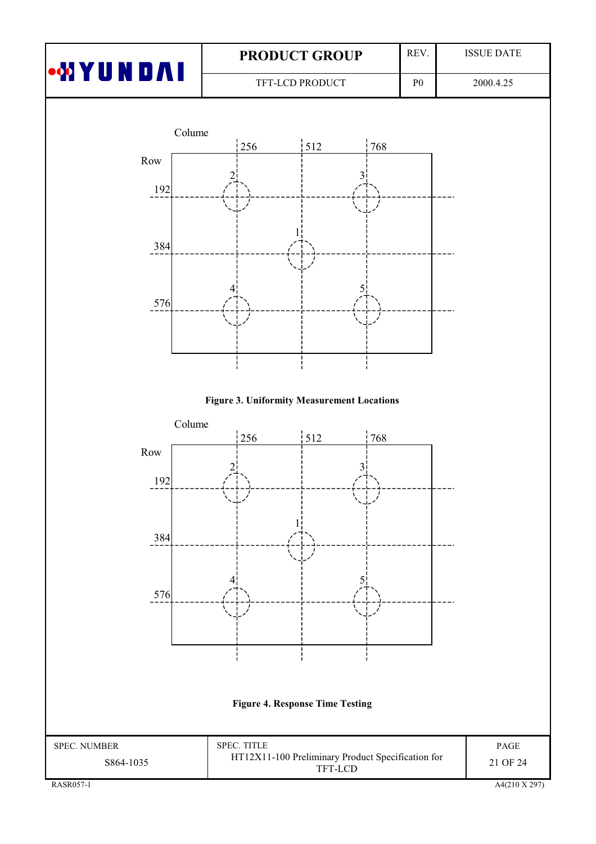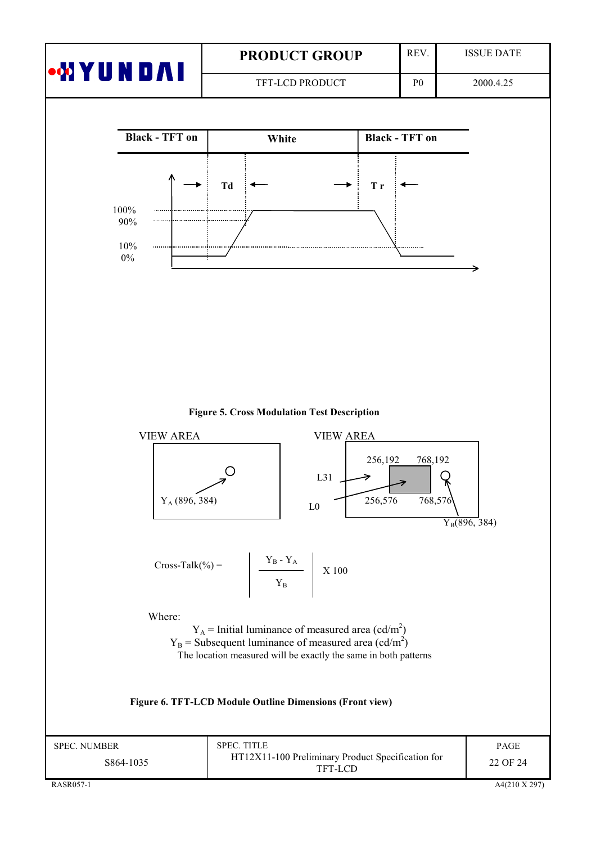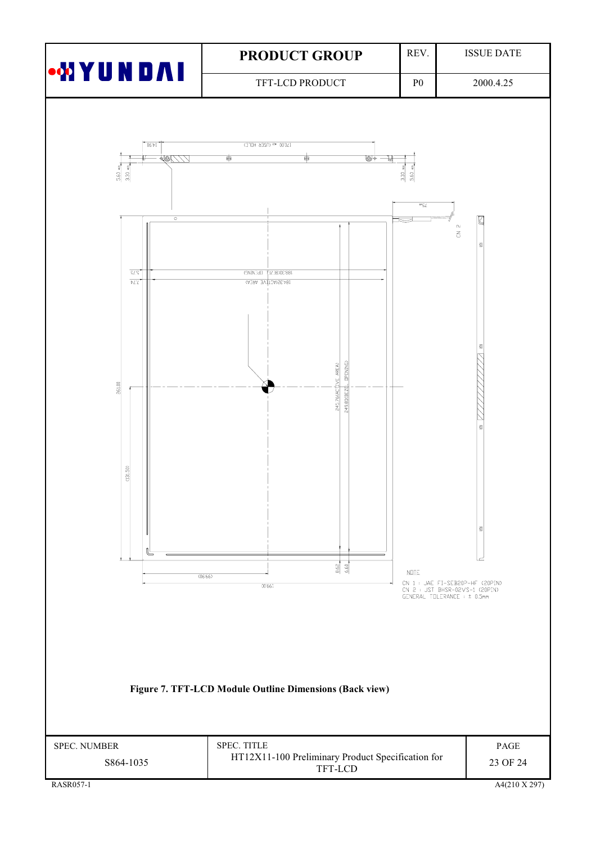